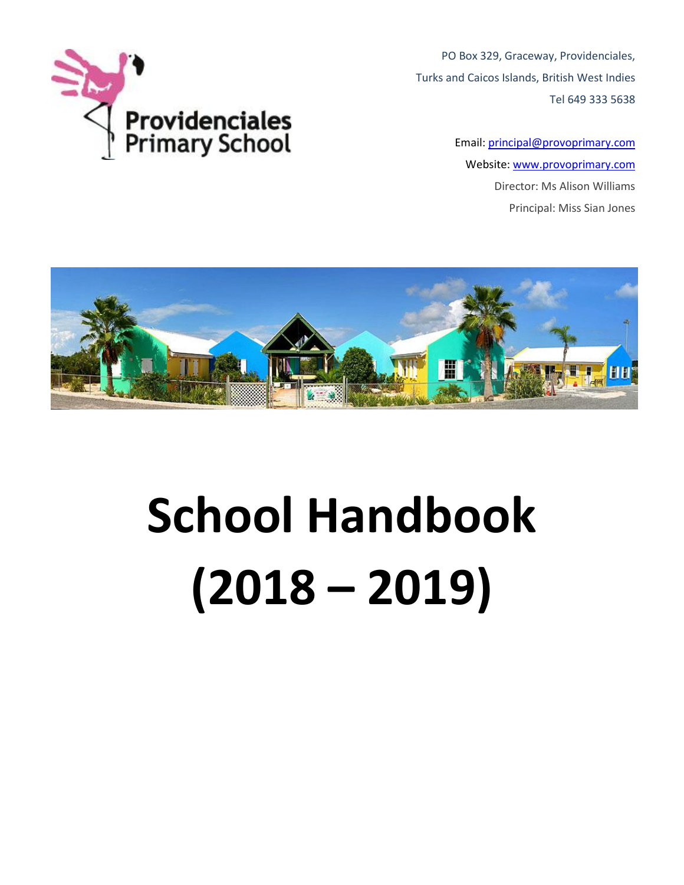

PO Box 329, Graceway, Providenciales, Turks and Caicos Islands, British West Indies Tel 649 333 5638

> Email: [principal@provoprimary.com](mailto:principal@provoprimary.com) Website: [www.provoprimary.com](http://www.provoprimary.com/) Director: Ms Alison Williams Principal: Miss Sian Jones



# **School Handbook (2018 – 2019)**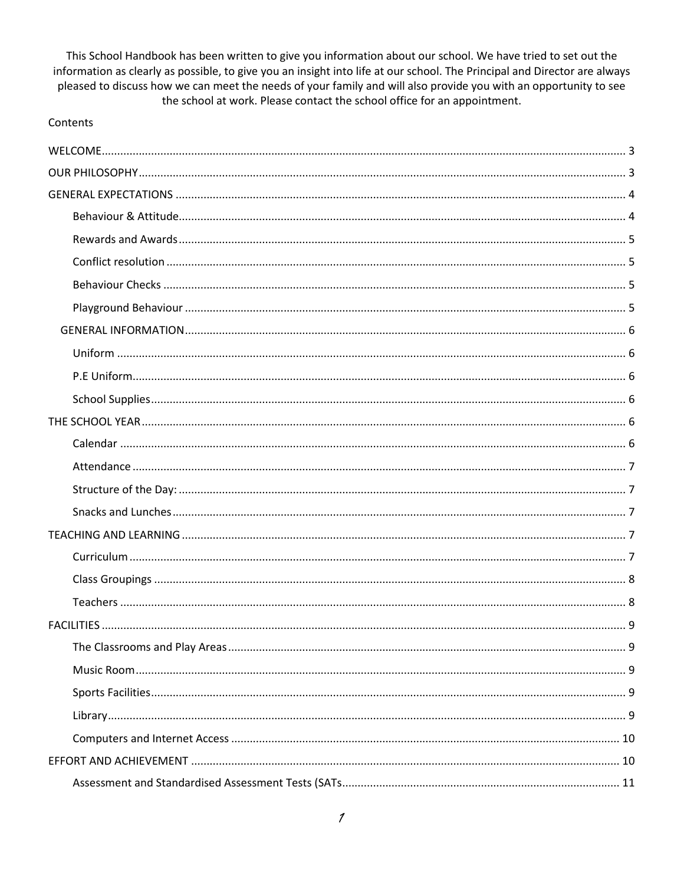This School Handbook has been written to give you information about our school. We have tried to set out the information as clearly as possible, to give you an insight into life at our school. The Principal and Director are always pleased to discuss how we can meet the needs of your family and will also provide you with an opportunity to see the school at work. Please contact the school office for an appointment.

#### Contents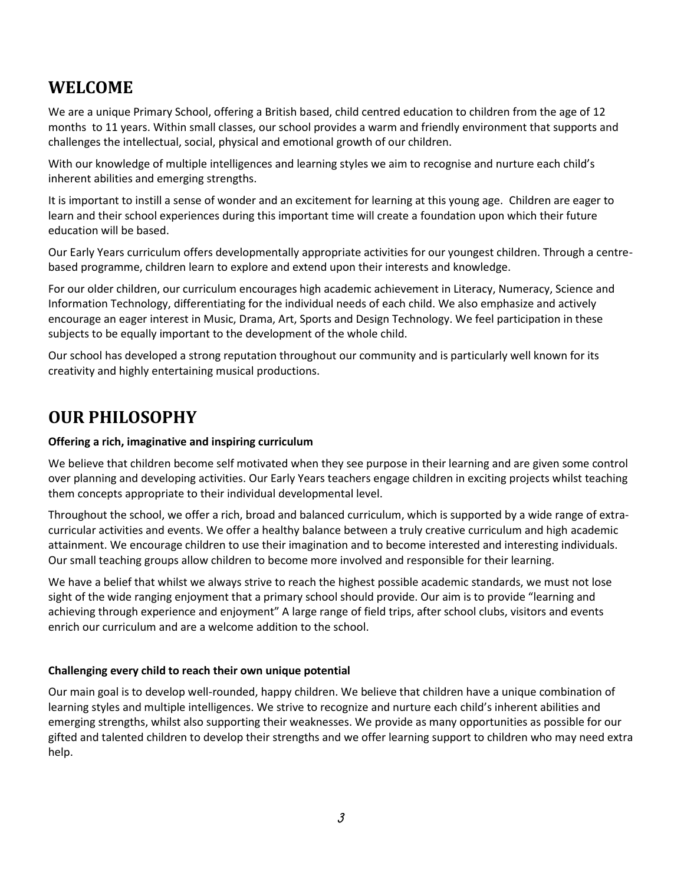## <span id="page-3-0"></span>**WELCOME**

We are a unique Primary School, offering a British based, child centred education to children from the age of 12 months to 11 years. Within small classes, our school provides a warm and friendly environment that supports and challenges the intellectual, social, physical and emotional growth of our children.

With our knowledge of multiple intelligences and learning styles we aim to recognise and nurture each child's inherent abilities and emerging strengths.

It is important to instill a sense of wonder and an excitement for learning at this young age. Children are eager to learn and their school experiences during this important time will create a foundation upon which their future education will be based.

Our Early Years curriculum offers developmentally appropriate activities for our youngest children. Through a centrebased programme, children learn to explore and extend upon their interests and knowledge.

For our older children, our curriculum encourages high academic achievement in Literacy, Numeracy, Science and Information Technology, differentiating for the individual needs of each child. We also emphasize and actively encourage an eager interest in Music, Drama, Art, Sports and Design Technology. We feel participation in these subjects to be equally important to the development of the whole child.

Our school has developed a strong reputation throughout our community and is particularly well known for its creativity and highly entertaining musical productions.

## <span id="page-3-1"></span>**OUR PHILOSOPHY**

## **Offering a rich, imaginative and inspiring curriculum**

We believe that children become self motivated when they see purpose in their learning and are given some control over planning and developing activities. Our Early Years teachers engage children in exciting projects whilst teaching them concepts appropriate to their individual developmental level.

Throughout the school, we offer a rich, broad and balanced curriculum, which is supported by a wide range of extracurricular activities and events. We offer a healthy balance between a truly creative curriculum and high academic attainment. We encourage children to use their imagination and to become interested and interesting individuals. Our small teaching groups allow children to become more involved and responsible for their learning.

We have a belief that whilst we always strive to reach the highest possible academic standards, we must not lose sight of the wide ranging enjoyment that a primary school should provide. Our aim is to provide "learning and achieving through experience and enjoyment" A large range of field trips, after school clubs, visitors and events enrich our curriculum and are a welcome addition to the school.

## **Challenging every child to reach their own unique potential**

Our main goal is to develop well-rounded, happy children. We believe that children have a unique combination of learning styles and multiple intelligences. We strive to recognize and nurture each child's inherent abilities and emerging strengths, whilst also supporting their weaknesses. We provide as many opportunities as possible for our gifted and talented children to develop their strengths and we offer learning support to children who may need extra help.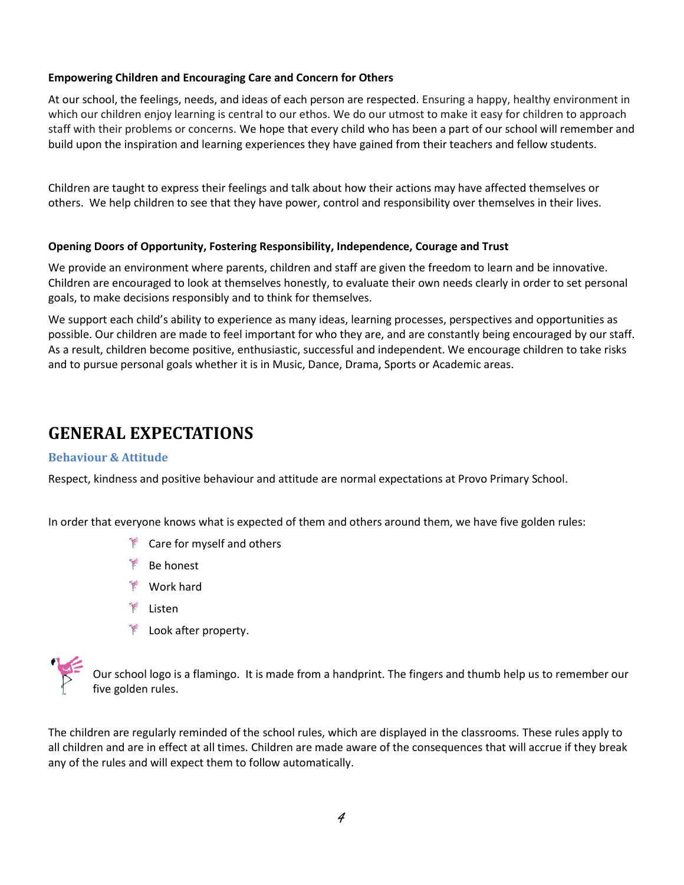## **Empowering Children and Encouraging Care and Concern for Others**

At our school, the feelings, needs, and ideas of each person are respected. Ensuring a happy, healthy environment in which our children enjoy learning is central to our ethos. We do our utmost to make it easy for children to approach staff with their problems or concerns. We hope that every child who has been a part of our school will remember and build upon the inspiration and learning experiences they have gained from their teachers and fellow students.

Children are taught to express their feelings and talk about how their actions may have affected themselves or others. We help children to see that they have power, control and responsibility over themselves in their lives.

## **Opening Doors of Opportunity, Fostering Responsibility, Independence, Courage and Trust**

We provide an environment where parents, children and staff are given the freedom to learn and be innovative. Children are encouraged to look at themselves honestly, to evaluate their own needs clearly in order to set personal goals, to make decisions responsibly and to think for themselves.

We support each child's ability to experience as many ideas, learning processes, perspectives and opportunities as possible. Our children are made to feel important for who they are, and are constantly being encouraged by our staff. As a result, children become positive, enthusiastic, successful and independent. We encourage children to take risks and to pursue personal goals whether it is in Music, Dance, Drama, Sports or Academic areas.

## <span id="page-4-0"></span>**GENERAL EXPECTATIONS**

#### <span id="page-4-1"></span>**Behaviour & Attitude**

Respect, kindness and positive behaviour and attitude are normal expectations at Provo Primary School.

In order that everyone knows what is expected of them and others around them, we have five golden rules:

- $\mathbb{R}$  Care for myself and others
- **Be honest**
- Work hard
- Listen
- **EXECUTE:** Look after property.



Our school logo is a flamingo. It is made from a handprint. The fingers and thumb help us to remember our five golden rules.

The children are regularly reminded of the school rules, which are displayed in the classrooms*.* These rules apply to all children and are in effect at all times. Children are made aware of the consequences that will accrue if they break any of the rules and will expect them to follow automatically.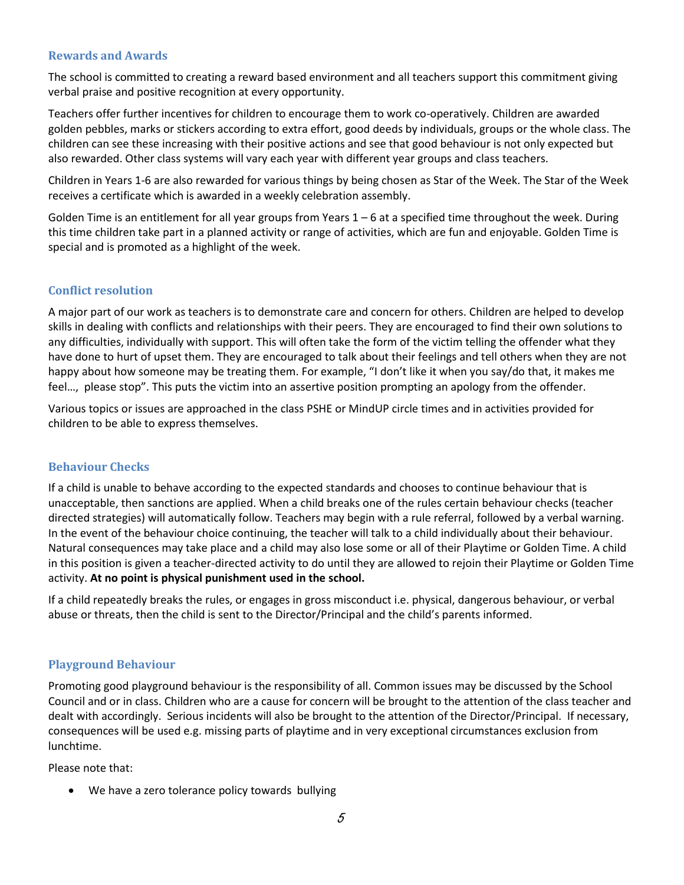#### <span id="page-5-0"></span>**Rewards and Awards**

The school is committed to creating a reward based environment and all teachers support this commitment giving verbal praise and positive recognition at every opportunity.

Teachers offer further incentives for children to encourage them to work co-operatively. Children are awarded golden pebbles, marks or stickers according to extra effort, good deeds by individuals, groups or the whole class. The children can see these increasing with their positive actions and see that good behaviour is not only expected but also rewarded. Other class systems will vary each year with different year groups and class teachers.

Children in Years 1-6 are also rewarded for various things by being chosen as Star of the Week. The Star of the Week receives a certificate which is awarded in a weekly celebration assembly.

Golden Time is an entitlement for all year groups from Years  $1-6$  at a specified time throughout the week. During this time children take part in a planned activity or range of activities, which are fun and enjoyable. Golden Time is special and is promoted as a highlight of the week.

## <span id="page-5-1"></span>**Conflict resolution**

A major part of our work as teachers is to demonstrate care and concern for others. Children are helped to develop skills in dealing with conflicts and relationships with their peers. They are encouraged to find their own solutions to any difficulties, individually with support. This will often take the form of the victim telling the offender what they have done to hurt of upset them. They are encouraged to talk about their feelings and tell others when they are not happy about how someone may be treating them. For example, "I don't like it when you say/do that, it makes me feel…, please stop". This puts the victim into an assertive position prompting an apology from the offender.

Various topics or issues are approached in the class PSHE or MindUP circle times and in activities provided for children to be able to express themselves.

## <span id="page-5-2"></span>**Behaviour Checks**

If a child is unable to behave according to the expected standards and chooses to continue behaviour that is unacceptable, then sanctions are applied. When a child breaks one of the rules certain behaviour checks (teacher directed strategies) will automatically follow. Teachers may begin with a rule referral, followed by a verbal warning. In the event of the behaviour choice continuing, the teacher will talk to a child individually about their behaviour. Natural consequences may take place and a child may also lose some or all of their Playtime or Golden Time. A child in this position is given a teacher-directed activity to do until they are allowed to rejoin their Playtime or Golden Time activity. **At no point is physical punishment used in the school.** 

If a child repeatedly breaks the rules, or engages in gross misconduct i.e. physical, dangerous behaviour, or verbal abuse or threats, then the child is sent to the Director/Principal and the child's parents informed.

## <span id="page-5-3"></span>**Playground Behaviour**

Promoting good playground behaviour is the responsibility of all. Common issues may be discussed by the School Council and or in class. Children who are a cause for concern will be brought to the attention of the class teacher and dealt with accordingly. Serious incidents will also be brought to the attention of the Director/Principal. If necessary, consequences will be used e.g. missing parts of playtime and in very exceptional circumstances exclusion from lunchtime.

Please note that:

• We have a zero tolerance policy towards bullying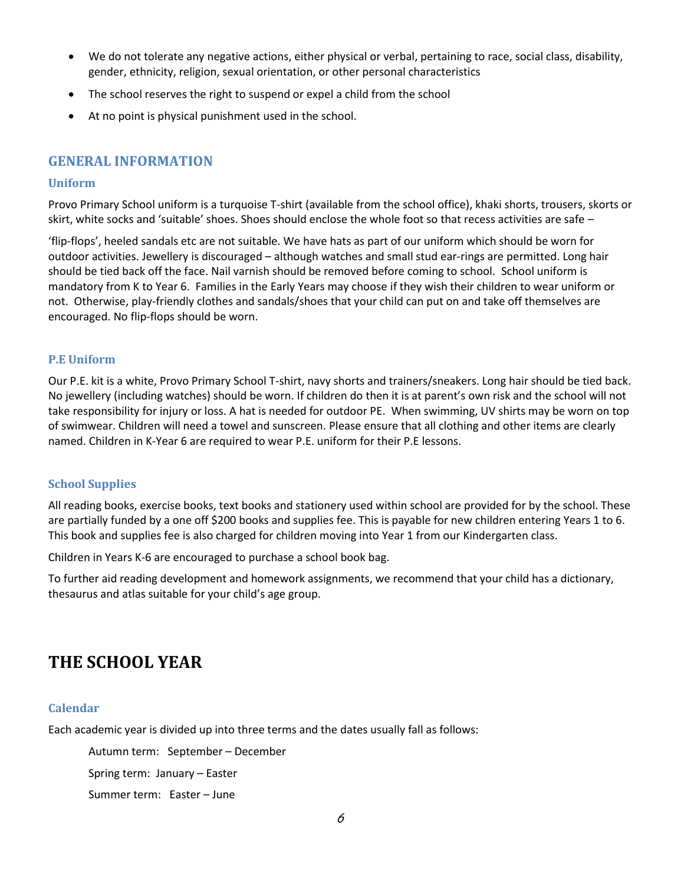- We do not tolerate any negative actions, either physical or verbal, pertaining t[o race,](http://en.wikipedia.org/wiki/Race_%28classification_of_human_beings%29) [social class,](http://en.wikipedia.org/wiki/Social_class) disability, [gender,](http://en.wikipedia.org/wiki/Gender) [ethnicity,](http://en.wikipedia.org/wiki/Ethnicity) [religion,](http://en.wikipedia.org/wiki/Religion) [sexual orientation,](http://en.wikipedia.org/wiki/Sexual_orientation) or other personal characteristics
- The school reserves the right to suspend or expel a child from the school
- At no point is physical punishment used in the school.

## <span id="page-6-0"></span>**GENERAL INFORMATION**

#### <span id="page-6-1"></span>**Uniform**

Provo Primary School uniform is a turquoise T-shirt (available from the school office), khaki shorts, trousers, skorts or skirt, white socks and 'suitable' shoes. Shoes should enclose the whole foot so that recess activities are safe –

'flip-flops', heeled sandals etc are not suitable. We have hats as part of our uniform which should be worn for outdoor activities. Jewellery is discouraged – although watches and small stud ear-rings are permitted. Long hair should be tied back off the face. Nail varnish should be removed before coming to school. School uniform is mandatory from K to Year 6. Families in the Early Years may choose if they wish their children to wear uniform or not. Otherwise, play-friendly clothes and sandals/shoes that your child can put on and take off themselves are encouraged. No flip-flops should be worn.

## <span id="page-6-2"></span>**P.E Uniform**

Our P.E. kit is a white, Provo Primary School T-shirt, navy shorts and trainers/sneakers. Long hair should be tied back. No jewellery (including watches) should be worn. If children do then it is at parent's own risk and the school will not take responsibility for injury or loss. A hat is needed for outdoor PE. When swimming, UV shirts may be worn on top of swimwear. Children will need a towel and sunscreen. Please ensure that all clothing and other items are clearly named. Children in K-Year 6 are required to wear P.E. uniform for their P.E lessons.

#### <span id="page-6-3"></span>**School Supplies**

All reading books, exercise books, text books and stationery used within school are provided for by the school. These are partially funded by a one off \$200 books and supplies fee. This is payable for new children entering Years 1 to 6. This book and supplies fee is also charged for children moving into Year 1 from our Kindergarten class.

Children in Years K-6 are encouraged to purchase a school book bag.

To further aid reading development and homework assignments, we recommend that your child has a dictionary, thesaurus and atlas suitable for your child's age group.

## <span id="page-6-4"></span>**THE SCHOOL YEAR**

#### <span id="page-6-5"></span>**Calendar**

Each academic year is divided up into three terms and the dates usually fall as follows:

Autumn term: September – December

Spring term: January – Easter

Summer term: Easter – June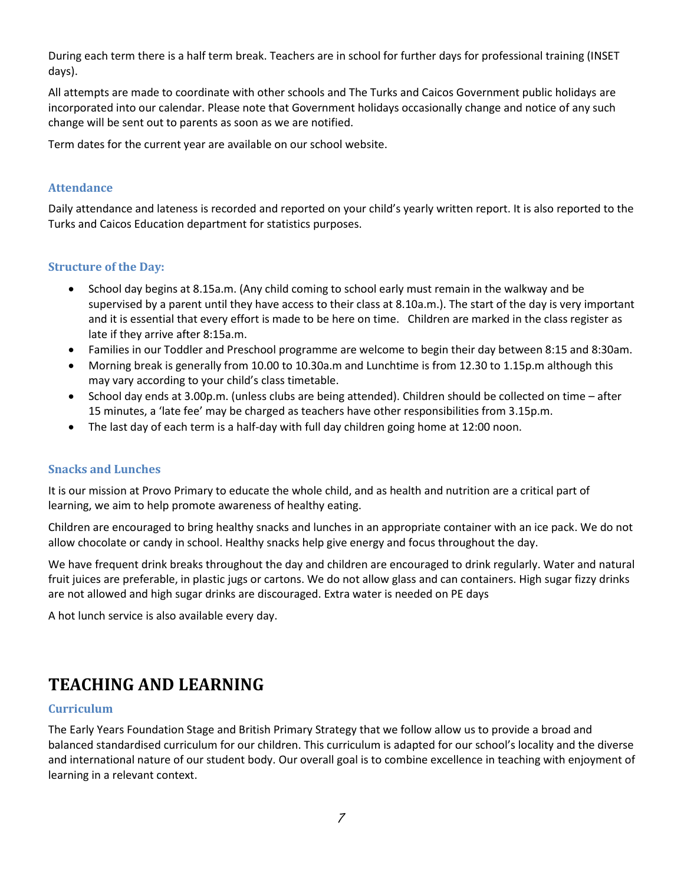During each term there is a half term break. Teachers are in school for further days for professional training (INSET days).

All attempts are made to coordinate with other schools and The Turks and Caicos Government public holidays are incorporated into our calendar. Please note that Government holidays occasionally change and notice of any such change will be sent out to parents as soon as we are notified.

Term dates for the current year are available on our school website.

## <span id="page-7-0"></span>**Attendance**

Daily attendance and lateness is recorded and reported on your child's yearly written report. It is also reported to the Turks and Caicos Education department for statistics purposes.

## <span id="page-7-1"></span>**Structure of the Day:**

- School day begins at 8.15a.m. (Any child coming to school early must remain in the walkway and be supervised by a parent until they have access to their class at 8.10a.m.). The start of the day is very important and it is essential that every effort is made to be here on time. Children are marked in the class register as late if they arrive after 8:15a.m.
- Families in our Toddler and Preschool programme are welcome to begin their day between 8:15 and 8:30am.
- Morning break is generally from 10.00 to 10.30a.m and Lunchtime is from 12.30 to 1.15p.m although this may vary according to your child's class timetable.
- School day ends at 3.00p.m. (unless clubs are being attended). Children should be collected on time after 15 minutes, a 'late fee' may be charged as teachers have other responsibilities from 3.15p.m.
- The last day of each term is a half-day with full day children going home at 12:00 noon.

## <span id="page-7-2"></span>**Snacks and Lunches**

It is our mission at Provo Primary to educate the whole child, and as health and nutrition are a critical part of learning, we aim to help promote awareness of healthy eating.

Children are encouraged to bring healthy snacks and lunches in an appropriate container with an ice pack. We do not allow chocolate or candy in school. Healthy snacks help give energy and focus throughout the day.

We have frequent drink breaks throughout the day and children are encouraged to drink regularly. Water and natural fruit juices are preferable, in plastic jugs or cartons. We do not allow glass and can containers. High sugar fizzy drinks are not allowed and high sugar drinks are discouraged. Extra water is needed on PE days

A hot lunch service is also available every day.

## <span id="page-7-3"></span>**TEACHING AND LEARNING**

#### <span id="page-7-4"></span>**Curriculum**

The Early Years Foundation Stage and British Primary Strategy that we follow allow us to provide a broad and balanced standardised curriculum for our children. This curriculum is adapted for our school's locality and the diverse and international nature of our student body. Our overall goal is to combine excellence in teaching with enjoyment of learning in a relevant context.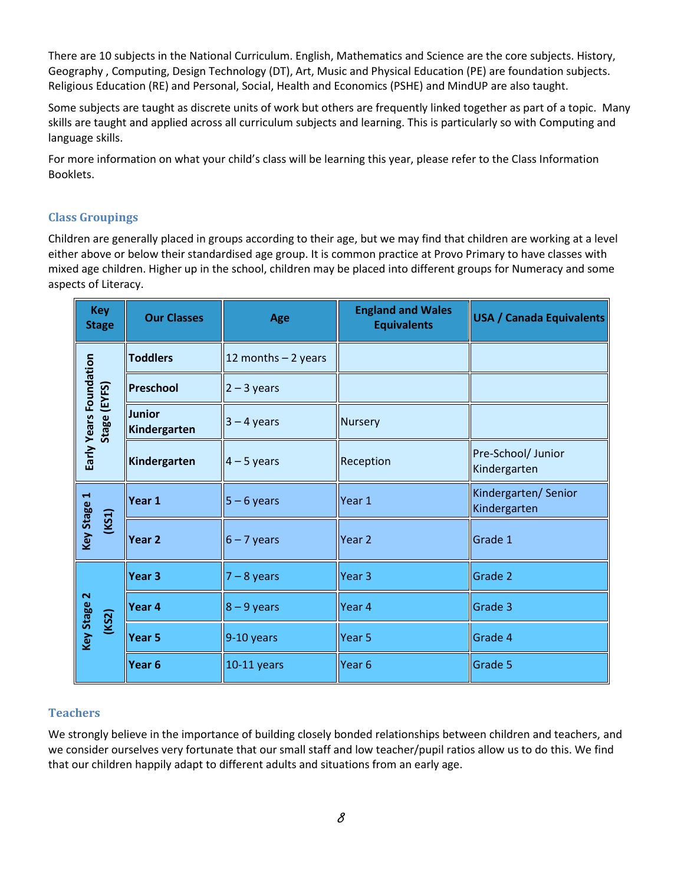There are 10 subjects in the National Curriculum. English, Mathematics and Science are the core subjects. History, Geography , Computing, Design Technology (DT), Art, Music and Physical Education (PE) are foundation subjects. Religious Education (RE) and Personal, Social, Health and Economics (PSHE) and MindUP are also taught.

Some subjects are taught as discrete units of work but others are frequently linked together as part of a topic. Many skills are taught and applied across all curriculum subjects and learning. This is particularly so with Computing and language skills.

For more information on what your child's class will be learning this year, please refer to the Class Information Booklets.

## <span id="page-8-0"></span>**Class Groupings**

Children are generally placed in groups according to their age, but we may find that children are working at a level either above or below their standardised age group. It is common practice at Provo Primary to have classes with mixed age children. Higher up in the school, children may be placed into different groups for Numeracy and some aspects of Literacy.

| <b>Key</b><br><b>Stage</b>                        | <b>Our Classes</b>     | Age                   | <b>England and Wales</b><br><b>Equivalents</b> | <b>USA / Canada Equivalents</b>     |
|---------------------------------------------------|------------------------|-----------------------|------------------------------------------------|-------------------------------------|
| Early Years Foundation                            | <b>Toddlers</b>        | 12 months $-$ 2 years |                                                |                                     |
|                                                   | Preschool              | $2 - 3$ years         |                                                |                                     |
| Stage (EYFS)                                      | Junior<br>Kindergarten | $3 - 4$ years         | Nursery                                        |                                     |
|                                                   | Kindergarten           | $4 - 5$ years         | Reception                                      | Pre-School/ Junior<br>Kindergarten  |
| Key Stage 1<br>(KS1)                              | Year 1                 | $5 - 6$ years         | Year 1                                         | Kindergarten/Senior<br>Kindergarten |
|                                                   | Year <sub>2</sub>      | $6 - 7$ years         | Year 2                                         | Grade 1                             |
| $\mathbf{\tilde{z}}$<br><b>Key Stage</b><br>(KS2) | Year <sub>3</sub>      | $7 - 8$ years         | Year <sub>3</sub>                              | Grade 2                             |
|                                                   | Year 4                 | $8 - 9$ years         | Year 4                                         | Grade 3                             |
|                                                   | Year <sub>5</sub>      | 9-10 years            | Year <sub>5</sub>                              | Grade 4                             |
|                                                   | Year 6                 | 10-11 years           | Year <sub>6</sub>                              | Grade 5                             |

## <span id="page-8-1"></span>**Teachers**

We strongly believe in the importance of building closely bonded relationships between children and teachers, and we consider ourselves very fortunate that our small staff and low teacher/pupil ratios allow us to do this. We find that our children happily adapt to different adults and situations from an early age.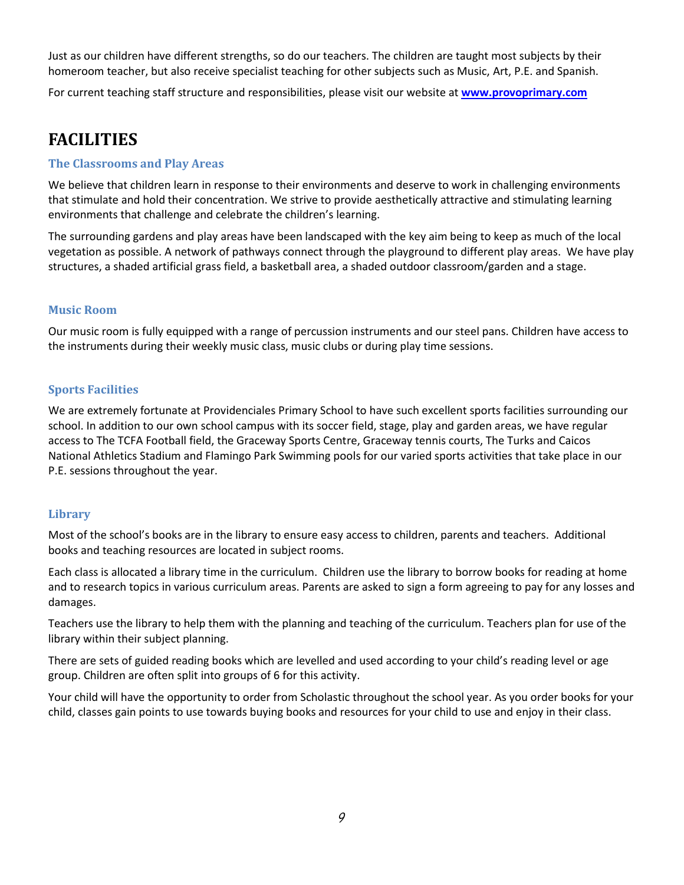Just as our children have different strengths, so do our teachers. The children are taught most subjects by their homeroom teacher, but also receive specialist teaching for other subjects such as Music, Art, P.E. and Spanish.

For current teaching staff structure and responsibilities, please visit our website at **[www.provoprimary.com](http://www.provoprimary.com/)**

## <span id="page-9-0"></span>**FACILITIES**

#### <span id="page-9-1"></span>**The Classrooms and Play Areas**

We believe that children learn in response to their environments and deserve to work in challenging environments that stimulate and hold their concentration. We strive to provide aesthetically attractive and stimulating learning environments that challenge and celebrate the children's learning.

The surrounding gardens and play areas have been landscaped with the key aim being to keep as much of the local vegetation as possible. A network of pathways connect through the playground to different play areas. We have play structures, a shaded artificial grass field, a basketball area, a shaded outdoor classroom/garden and a stage.

## <span id="page-9-2"></span>**Music Room**

Our music room is fully equipped with a range of percussion instruments and our steel pans. Children have access to the instruments during their weekly music class, music clubs or during play time sessions.

## <span id="page-9-3"></span>**Sports Facilities**

We are extremely fortunate at Providenciales Primary School to have such excellent sports facilities surrounding our school. In addition to our own school campus with its soccer field, stage, play and garden areas, we have regular access to The TCFA Football field, the Graceway Sports Centre, Graceway tennis courts, The Turks and Caicos National Athletics Stadium and Flamingo Park Swimming pools for our varied sports activities that take place in our P.E. sessions throughout the year.

#### <span id="page-9-4"></span>**Library**

Most of the school's books are in the library to ensure easy access to children, parents and teachers. Additional books and teaching resources are located in subject rooms.

Each class is allocated a library time in the curriculum. Children use the library to borrow books for reading at home and to research topics in various curriculum areas. Parents are asked to sign a form agreeing to pay for any losses and damages.

Teachers use the library to help them with the planning and teaching of the curriculum. Teachers plan for use of the library within their subject planning.

There are sets of guided reading books which are levelled and used according to your child's reading level or age group. Children are often split into groups of 6 for this activity.

Your child will have the opportunity to order from Scholastic throughout the school year. As you order books for your child, classes gain points to use towards buying books and resources for your child to use and enjoy in their class.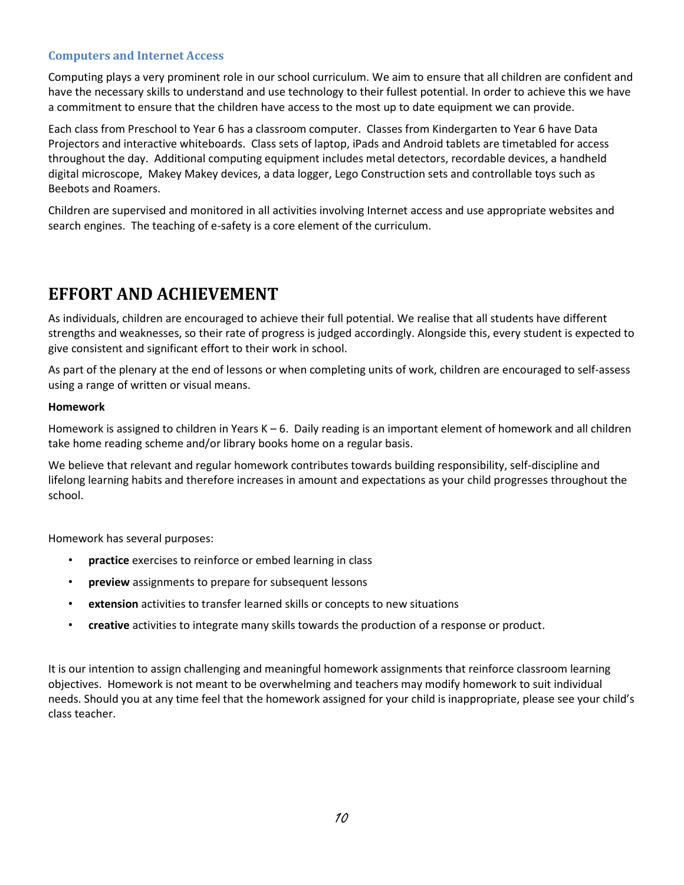## <span id="page-10-0"></span>**Computers and Internet Access**

Computing plays a very prominent role in our school curriculum. We aim to ensure that all children are confident and have the necessary skills to understand and use technology to their fullest potential. In order to achieve this we have a commitment to ensure that the children have access to the most up to date equipment we can provide.

Each class from Preschool to Year 6 has a classroom computer. Classes from Kindergarten to Year 6 have Data Projectors and interactive whiteboards. Class sets of laptop, iPads and Android tablets are timetabled for access throughout the day. Additional computing equipment includes metal detectors, recordable devices, a handheld digital microscope, Makey Makey devices, a data logger, Lego Construction sets and controllable toys such as Beebots and Roamers.

Children are supervised and monitored in all activities involving Internet access and use appropriate websites and search engines. The teaching of e-safety is a core element of the curriculum.

## <span id="page-10-1"></span>**EFFORT AND ACHIEVEMENT**

As individuals, children are encouraged to achieve their full potential. We realise that all students have different strengths and weaknesses, so their rate of progress is judged accordingly. Alongside this, every student is expected to give consistent and significant effort to their work in school.

As part of the plenary at the end of lessons or when completing units of work, children are encouraged to self-assess using a range of written or visual means.

#### **Homework**

Homework is assigned to children in Years K – 6. Daily reading is an important element of homework and all children take home reading scheme and/or library books home on a regular basis.

We believe that relevant and regular homework contributes towards building responsibility, self-discipline and lifelong learning habits and therefore increases in amount and expectations as your child progresses throughout the school.

Homework has several purposes:

- **practice** exercises to reinforce or embed learning in class
- **preview** assignments to prepare for subsequent lessons
- **extension** activities to transfer learned skills or concepts to new situations
- **creative** activities to integrate many skills towards the production of a response or product.

It is our intention to assign challenging and meaningful homework assignments that reinforce classroom learning objectives. Homework is not meant to be overwhelming and teachers may modify homework to suit individual needs. Should you at any time feel that the homework assigned for your child is inappropriate, please see your child's class teacher.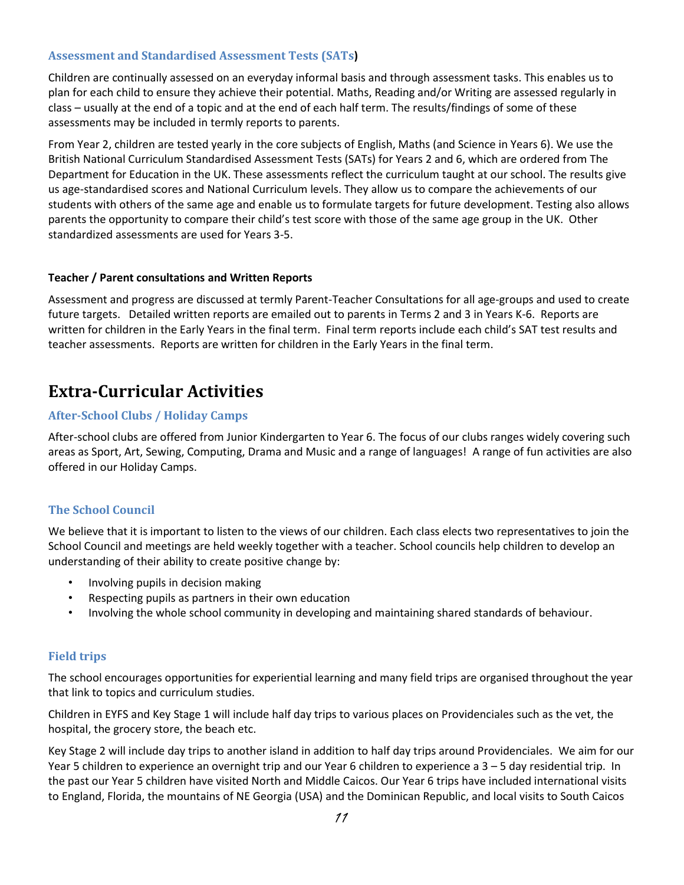## <span id="page-11-0"></span>**Assessment and Standardised Assessment Tests (SATs)**

Children are continually assessed on an everyday informal basis and through assessment tasks. This enables us to plan for each child to ensure they achieve their potential. Maths, Reading and/or Writing are assessed regularly in class – usually at the end of a topic and at the end of each half term. The results/findings of some of these assessments may be included in termly reports to parents.

From Year 2, children are tested yearly in the core subjects of English, Maths (and Science in Years 6). We use the British National Curriculum Standardised Assessment Tests (SATs) for Years 2 and 6, which are ordered from The Department for Education in the UK. These assessments reflect the curriculum taught at our school. The results give us age-standardised scores and National Curriculum levels. They allow us to compare the achievements of our students with others of the same age and enable us to formulate targets for future development. Testing also allows parents the opportunity to compare their child's test score with those of the same age group in the UK. Other standardized assessments are used for Years 3-5.

#### **Teacher / Parent consultations and Written Reports**

Assessment and progress are discussed at termly Parent-Teacher Consultations for all age-groups and used to create future targets. Detailed written reports are emailed out to parents in Terms 2 and 3 in Years K-6. Reports are written for children in the Early Years in the final term. Final term reports include each child's SAT test results and teacher assessments. Reports are written for children in the Early Years in the final term.

## <span id="page-11-1"></span>**Extra-Curricular Activities**

#### <span id="page-11-2"></span>**After-School Clubs / Holiday Camps**

After-school clubs are offered from Junior Kindergarten to Year 6. The focus of our clubs ranges widely covering such areas as Sport, Art, Sewing, Computing, Drama and Music and a range of languages! A range of fun activities are also offered in our Holiday Camps.

#### <span id="page-11-3"></span>**The School Council**

We believe that it is important to listen to the views of our children. Each class elects two representatives to join the School Council and meetings are held weekly together with a teacher. School councils help children to develop an understanding of their ability to create positive change by:

- Involving pupils in decision making
- Respecting pupils as partners in their own education
- Involving the whole school community in developing and maintaining shared standards of behaviour.

#### <span id="page-11-4"></span>**Field trips**

The school encourages opportunities for experiential learning and many field trips are organised throughout the year that link to topics and curriculum studies.

Children in EYFS and Key Stage 1 will include half day trips to various places on Providenciales such as the vet, the hospital, the grocery store, the beach etc.

Key Stage 2 will include day trips to another island in addition to half day trips around Providenciales. We aim for our Year 5 children to experience an overnight trip and our Year 6 children to experience a 3 – 5 day residential trip. In the past our Year 5 children have visited North and Middle Caicos. Our Year 6 trips have included international visits to England, Florida, the mountains of NE Georgia (USA) and the Dominican Republic, and local visits to South Caicos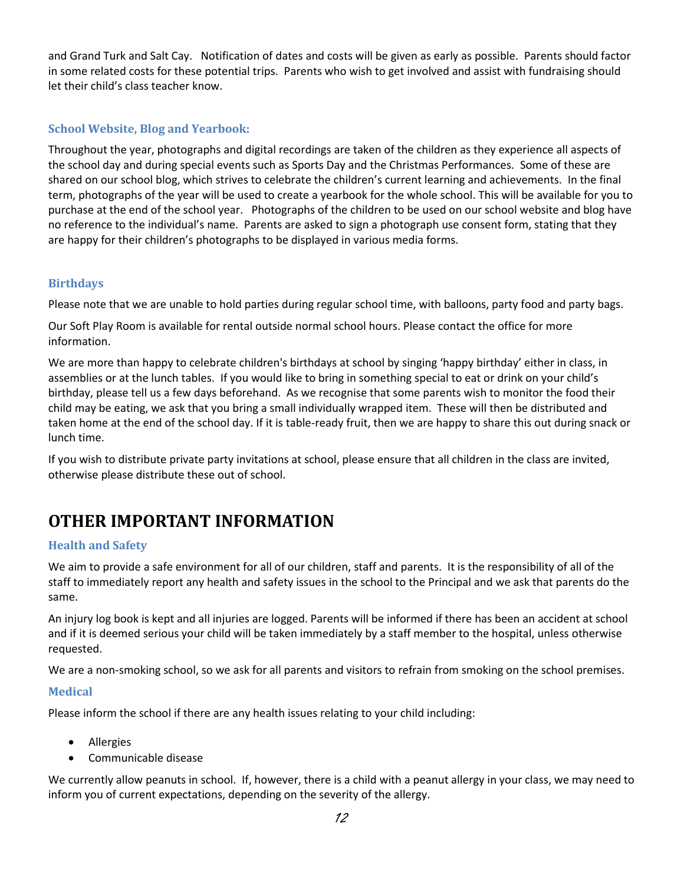and Grand Turk and Salt Cay. Notification of dates and costs will be given as early as possible. Parents should factor in some related costs for these potential trips. Parents who wish to get involved and assist with fundraising should let their child's class teacher know.

## <span id="page-12-0"></span>**School Website, Blog and Yearbook:**

Throughout the year, photographs and digital recordings are taken of the children as they experience all aspects of the school day and during special events such as Sports Day and the Christmas Performances. Some of these are shared on our school blog, which strives to celebrate the children's current learning and achievements. In the final term, photographs of the year will be used to create a yearbook for the whole school. This will be available for you to purchase at the end of the school year. Photographs of the children to be used on our school website and blog have no reference to the individual's name. Parents are asked to sign a photograph use consent form, stating that they are happy for their children's photographs to be displayed in various media forms.

## <span id="page-12-1"></span>**Birthdays**

Please note that we are unable to hold parties during regular school time, with balloons, party food and party bags.

Our Soft Play Room is available for rental outside normal school hours. Please contact the office for more information.

We are more than happy to celebrate children's birthdays at school by singing 'happy birthday' either in class, in assemblies or at the lunch tables. If you would like to bring in something special to eat or drink on your child's birthday, please tell us a few days beforehand. As we recognise that some parents wish to monitor the food their child may be eating, we ask that you bring a small individually wrapped item. These will then be distributed and taken home at the end of the school day. If it is table-ready fruit, then we are happy to share this out during snack or lunch time.

If you wish to distribute private party invitations at school, please ensure that all children in the class are invited, otherwise please distribute these out of school.

## <span id="page-12-2"></span>**OTHER IMPORTANT INFORMATION**

## <span id="page-12-3"></span>**Health and Safety**

We aim to provide a safe environment for all of our children, staff and parents. It is the responsibility of all of the staff to immediately report any health and safety issues in the school to the Principal and we ask that parents do the same.

An injury log book is kept and all injuries are logged. Parents will be informed if there has been an accident at school and if it is deemed serious your child will be taken immediately by a staff member to the hospital, unless otherwise requested.

We are a non-smoking school, so we ask for all parents and visitors to refrain from smoking on the school premises.

## <span id="page-12-4"></span>**Medical**

Please inform the school if there are any health issues relating to your child including:

- Allergies
- Communicable disease

We currently allow peanuts in school. If, however, there is a child with a peanut allergy in your class, we may need to inform you of current expectations, depending on the severity of the allergy.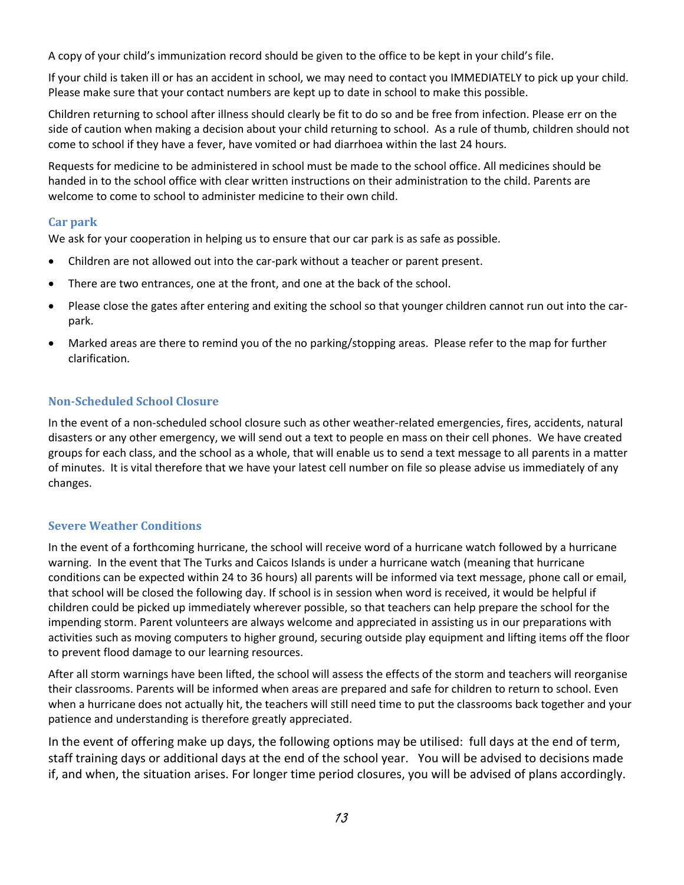A copy of your child's immunization record should be given to the office to be kept in your child's file.

If your child is taken ill or has an accident in school, we may need to contact you IMMEDIATELY to pick up your child. Please make sure that your contact numbers are kept up to date in school to make this possible.

Children returning to school after illness should clearly be fit to do so and be free from infection. Please err on the side of caution when making a decision about your child returning to school. As a rule of thumb, children should not come to school if they have a fever, have vomited or had diarrhoea within the last 24 hours.

Requests for medicine to be administered in school must be made to the school office. All medicines should be handed in to the school office with clear written instructions on their administration to the child. Parents are welcome to come to school to administer medicine to their own child.

## <span id="page-13-0"></span>**Car park**

We ask for your cooperation in helping us to ensure that our car park is as safe as possible.

- Children are not allowed out into the car-park without a teacher or parent present.
- There are two entrances, one at the front, and one at the back of the school.
- Please close the gates after entering and exiting the school so that younger children cannot run out into the carpark.
- Marked areas are there to remind you of the no parking/stopping areas. Please refer to the map for further clarification.

## <span id="page-13-1"></span>**Non-Scheduled School Closure**

In the event of a non-scheduled school closure such as other weather-related emergencies, fires, accidents, natural disasters or any other emergency, we will send out a text to people en mass on their cell phones. We have created groups for each class, and the school as a whole, that will enable us to send a text message to all parents in a matter of minutes. It is vital therefore that we have your latest cell number on file so please advise us immediately of any changes.

## <span id="page-13-2"></span>**Severe Weather Conditions**

In the event of a forthcoming hurricane, the school will receive word of a hurricane watch followed by a hurricane warning. In the event that The Turks and Caicos Islands is under a hurricane watch (meaning that hurricane conditions can be expected within 24 to 36 hours) all parents will be informed via text message, phone call or email, that school will be closed the following day. If school is in session when word is received, it would be helpful if children could be picked up immediately wherever possible, so that teachers can help prepare the school for the impending storm. Parent volunteers are always welcome and appreciated in assisting us in our preparations with activities such as moving computers to higher ground, securing outside play equipment and lifting items off the floor to prevent flood damage to our learning resources.

After all storm warnings have been lifted, the school will assess the effects of the storm and teachers will reorganise their classrooms. Parents will be informed when areas are prepared and safe for children to return to school. Even when a hurricane does not actually hit, the teachers will still need time to put the classrooms back together and your patience and understanding is therefore greatly appreciated.

In the event of offering make up days, the following options may be utilised: full days at the end of term, staff training days or additional days at the end of the school year. You will be advised to decisions made if, and when, the situation arises. For longer time period closures, you will be advised of plans accordingly.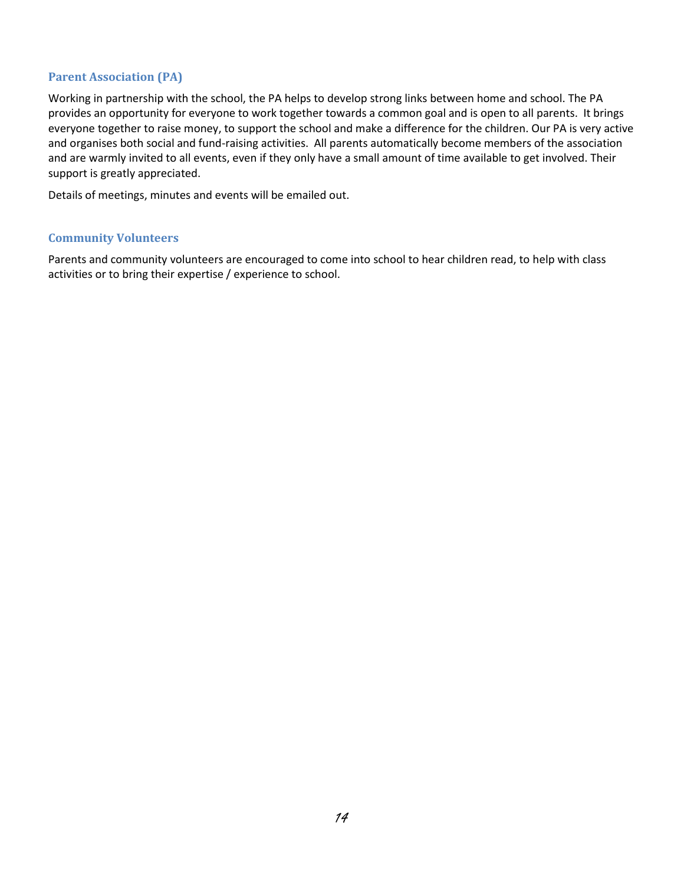## <span id="page-14-0"></span>**Parent Association (PA)**

Working in partnership with the school, the PA helps to develop strong links between home and school. The PA provides an opportunity for everyone to work together towards a common goal and is open to all parents. It brings everyone together to raise money, to support the school and make a difference for the children. Our PA is very active and organises both social and fund-raising activities. All parents automatically become members of the association and are warmly invited to all events, even if they only have a small amount of time available to get involved. Their support is greatly appreciated.

Details of meetings, minutes and events will be emailed out.

#### <span id="page-14-1"></span>**Community Volunteers**

Parents and community volunteers are encouraged to come into school to hear children read, to help with class activities or to bring their expertise / experience to school.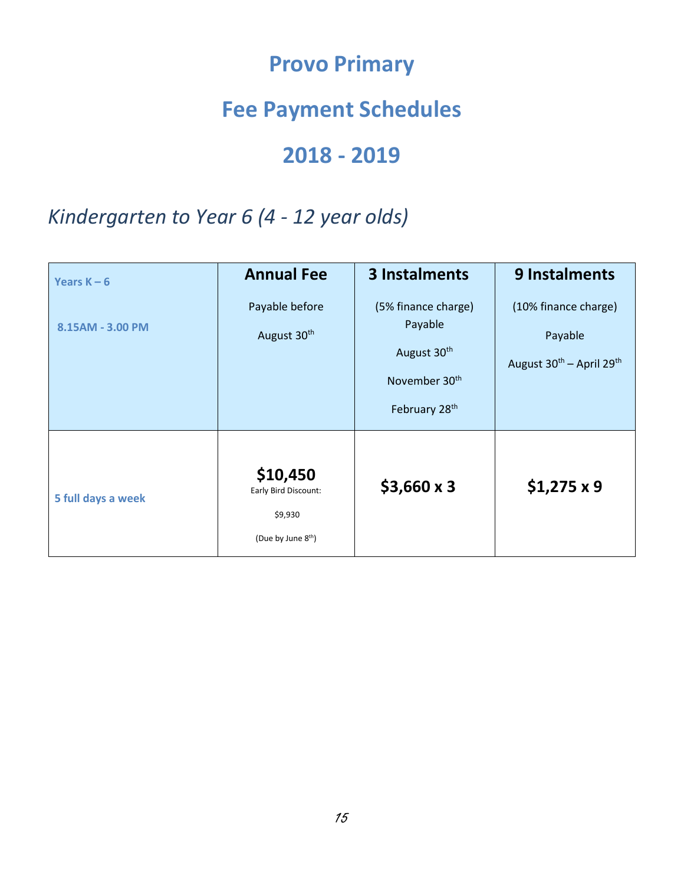# **Provo Primary**

# **Fee Payment Schedules**

# **2018 - 2019**

## <span id="page-15-2"></span><span id="page-15-1"></span><span id="page-15-0"></span>*Kindergarten to Year 6 (4 - 12 year olds)*

<span id="page-15-6"></span><span id="page-15-5"></span><span id="page-15-4"></span><span id="page-15-3"></span>

| Years $K - 6$      | <b>Annual Fee</b>                                                             | <b>3 Instalments</b>                                                                                                | 9 Instalments                                                                       |
|--------------------|-------------------------------------------------------------------------------|---------------------------------------------------------------------------------------------------------------------|-------------------------------------------------------------------------------------|
| 8.15AM - 3.00 PM   | Payable before<br>August 30 <sup>th</sup>                                     | (5% finance charge)<br>Payable<br>August 30 <sup>th</sup><br>November 30 <sup>th</sup><br>February 28 <sup>th</sup> | (10% finance charge)<br>Payable<br>August 30 <sup>th</sup> - April 29 <sup>th</sup> |
| 5 full days a week | \$10,450<br>Early Bird Discount:<br>\$9,930<br>(Due by June 8 <sup>th</sup> ) | $$3,660 \times 3$                                                                                                   | $$1,275 \times 9$                                                                   |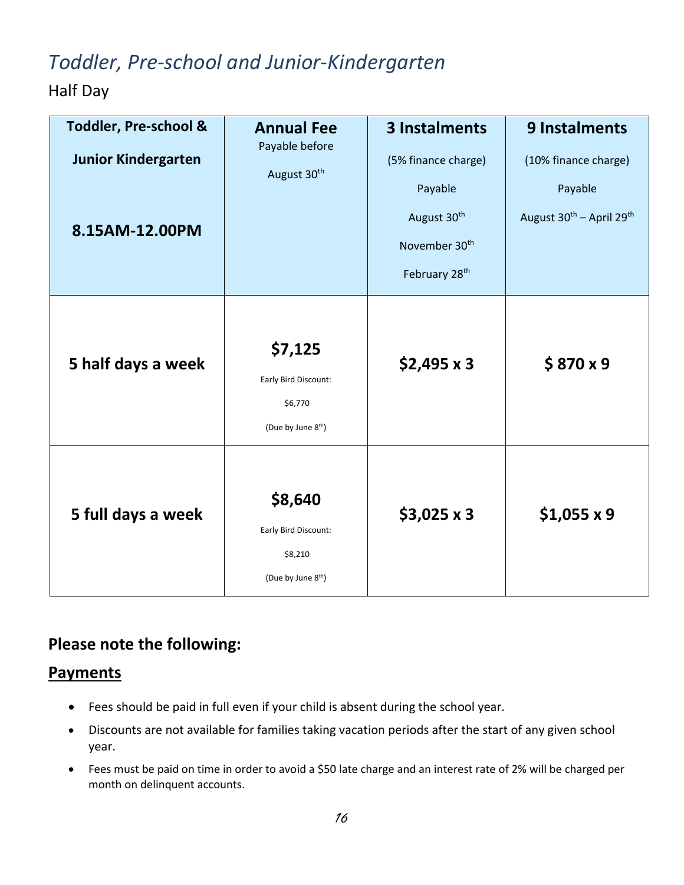# *Toddler, Pre-school and Junior-Kindergarten*

Half Day

<span id="page-16-0"></span>

| <b>Toddler, Pre-school &amp;</b><br><b>Junior Kindergarten</b><br>8.15AM-12.00PM | <b>Annual Fee</b><br>Payable before<br>August 30 <sup>th</sup>               | 3 Instalments<br>(5% finance charge)<br>Payable<br>August 30 <sup>th</sup><br>November 30 <sup>th</sup><br>February 28 <sup>th</sup> | 9 Instalments<br>(10% finance charge)<br>Payable<br>August 30 <sup>th</sup> - April 29 <sup>th</sup> |
|----------------------------------------------------------------------------------|------------------------------------------------------------------------------|--------------------------------------------------------------------------------------------------------------------------------------|------------------------------------------------------------------------------------------------------|
| 5 half days a week                                                               | \$7,125<br>Early Bird Discount:<br>\$6,770<br>(Due by June 8 <sup>th</sup> ) | $$2,495 \times 3$                                                                                                                    | \$870x9                                                                                              |
| 5 full days a week                                                               | \$8,640<br>Early Bird Discount:<br>\$8,210<br>(Due by June 8 <sup>th</sup> ) | $$3,025 \times 3$                                                                                                                    | $$1,055 \times 9$                                                                                    |

## <span id="page-16-1"></span>**Please note the following:**

## **Payments**

- Fees should be paid in full even if your child is absent during the school year.
- Discounts are not available for families taking vacation periods after the start of any given school year.
- Fees must be paid on time in order to avoid a \$50 late charge and an interest rate of 2% will be charged per month on delinquent accounts.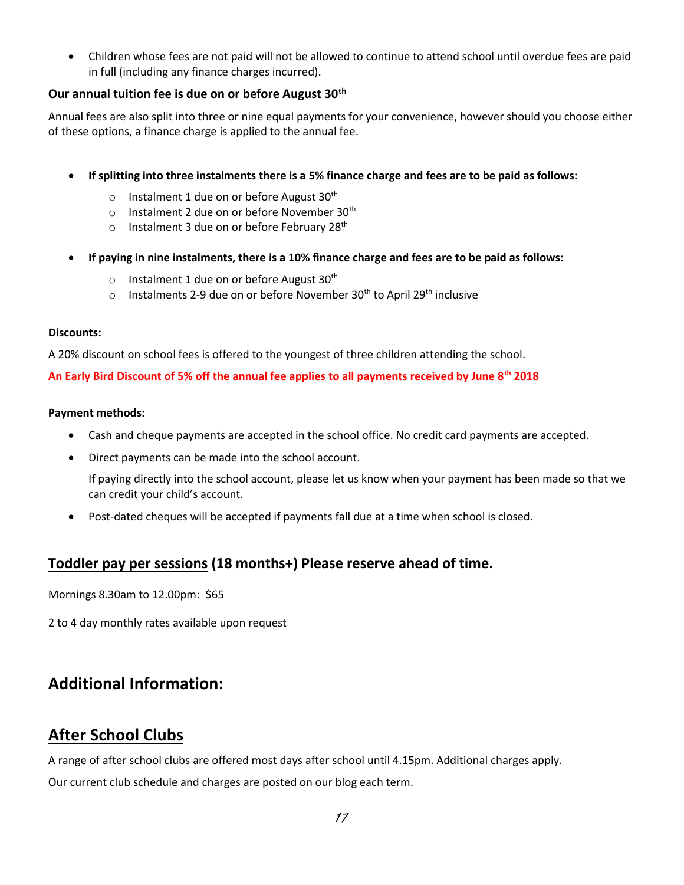• Children whose fees are not paid will not be allowed to continue to attend school until overdue fees are paid in full (including any finance charges incurred).

## **Our annual tuition fee is due on or before August 30th**

Annual fees are also split into three or nine equal payments for your convenience, however should you choose either of these options, a finance charge is applied to the annual fee.

- **If splitting into three instalments there is a 5% finance charge and fees are to be paid as follows:** 
	- $\circ$  Instalment 1 due on or before August 30<sup>th</sup>
	- $\circ$  Instalment 2 due on or before November 30<sup>th</sup>
	- $\circ$  Instalment 3 due on or before February 28<sup>th</sup>
- **If paying in nine instalments, there is a 10% finance charge and fees are to be paid as follows:** 
	- o Instalment 1 due on or before August  $30<sup>th</sup>$
	- $\circ$  Instalments 2-9 due on or before November 30<sup>th</sup> to April 29<sup>th</sup> inclusive

#### **Discounts:**

A 20% discount on school fees is offered to the youngest of three children attending the school.

**An Early Bird Discount of 5% off the annual fee applies to all payments received by June 8th 2018** 

#### **Payment methods:**

- Cash and cheque payments are accepted in the school office. No credit card payments are accepted.
- Direct payments can be made into the school account.

If paying directly into the school account, please let us know when your payment has been made so that we can credit your child's account.

• Post-dated cheques will be accepted if payments fall due at a time when school is closed.

## **Toddler pay per sessions (18 months+) Please reserve ahead of time.**

Mornings 8.30am to 12.00pm: \$65

2 to 4 day monthly rates available upon request

## **Additional Information:**

## **After School Clubs**

A range of after school clubs are offered most days after school until 4.15pm. Additional charges apply.

Our current club schedule and charges are posted on our blog each term.